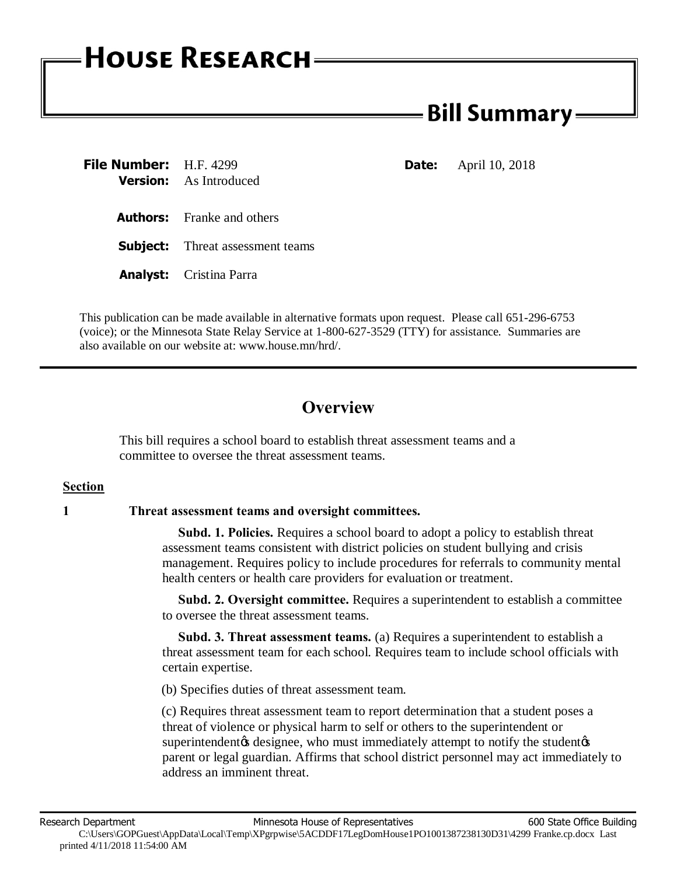# **HOUSE RESEARCH**

## **- Bill Summary -**

| <b>File Number:</b> H.F. 4299 | <b>Version:</b> As Introduced           | Date: | April 10, 2018 |
|-------------------------------|-----------------------------------------|-------|----------------|
|                               | <b>Authors:</b> Franke and others       |       |                |
|                               | <b>Subject:</b> Threat assessment teams |       |                |
|                               | <b>Analyst:</b> Cristina Parra          |       |                |

This publication can be made available in alternative formats upon request. Please call 651-296-6753 (voice); or the Minnesota State Relay Service at 1-800-627-3529 (TTY) for assistance. Summaries are also available on our website at: www.house.mn/hrd/.

### **Overview**

This bill requires a school board to establish threat assessment teams and a committee to oversee the threat assessment teams.

#### **Section**

#### **1 Threat assessment teams and oversight committees.**

 **Subd. 1. Policies.** Requires a school board to adopt a policy to establish threat assessment teams consistent with district policies on student bullying and crisis management. Requires policy to include procedures for referrals to community mental health centers or health care providers for evaluation or treatment.

 **Subd. 2. Oversight committee.** Requires a superintendent to establish a committee to oversee the threat assessment teams.

 **Subd. 3. Threat assessment teams.** (a) Requires a superintendent to establish a threat assessment team for each school. Requires team to include school officials with certain expertise.

(b) Specifies duties of threat assessment team.

(c) Requires threat assessment team to report determination that a student poses a threat of violence or physical harm to self or others to the superintendent or superintendent to designee, who must immediately attempt to notify the student of parent or legal guardian. Affirms that school district personnel may act immediately to address an imminent threat.